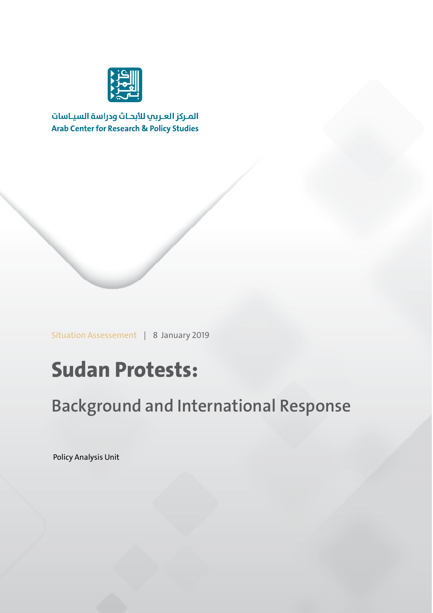

المركز العربب للأبحاث ودراسة السياسات **Arab Center for Research & Policy Studies** 

Situation Assessement | 8 January 2019

## **Sudan Protests:**

**Background and International Response**

Policy Analysis Unit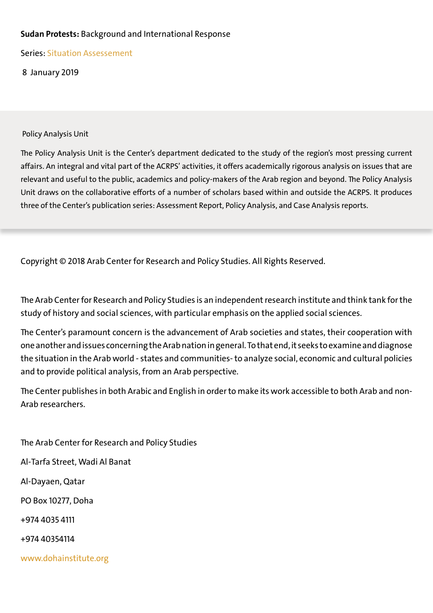#### **Sudan Protests:** Background and International Response

Series: Situation Assessement

8 January 2019

Policy Analysis Unit

The Policy Analysis Unit is the Center's department dedicated to the study of the region's most pressing current affairs. An integral and vital part of the ACRPS' activities, it offers academically rigorous analysis on issues that are relevant and useful to the public, academics and policy-makers of the Arab region and beyond. The Policy Analysis Unit draws on the collaborative efforts of a number of scholars based within and outside the ACRPS. It produces three of the Center's publication series: Assessment Report, Policy Analysis, and Case Analysis reports.

Copyright © 2018 Arab Center for Research and Policy Studies. All Rights Reserved.

The Arab Center for Research and Policy Studies is an independent research institute and think tank for the study of history and social sciences, with particular emphasis on the applied social sciences.

The Center's paramount concern is the advancement of Arab societies and states, their cooperation with one another and issues concerning the Arab nation in general. To that end, it seeks to examine and diagnose the situation in the Arab world - states and communities- to analyze social, economic and cultural policies and to provide political analysis, from an Arab perspective.

The Center publishes in both Arabic and English in order to make its work accessible to both Arab and non-Arab researchers.

The Arab Center for Research and Policy Studies Al-Tarfa Street, Wadi Al Banat Al-Dayaen, Qatar PO Box 10277, Doha +974 4035 4111 +974 40354114 www.dohainstitute.org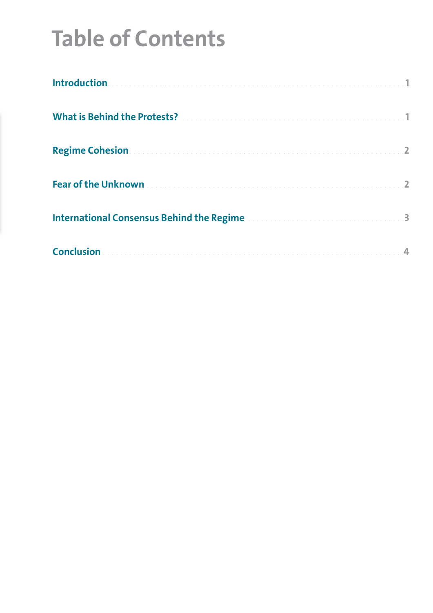# **Table of Contents**

| What is Behind the Protests? Manual Manual Manual Manual Manual Manual Manual Manual Manual Manual M                                                                                                                                 |  |
|--------------------------------------------------------------------------------------------------------------------------------------------------------------------------------------------------------------------------------------|--|
| <b>Regime Cohesion Advisory Advisory Contract Contract Contract Contract Contract Contract Contract Contract Contract Contract Contract Contract Contract Contract Contract Contract Contract Contract Contract Contract Contrac</b> |  |
| Fear of the Unknown <b>Experience International Contract of the Unknown</b>                                                                                                                                                          |  |
| International Consensus Behind the Regime                                                                                                                                                                                            |  |
|                                                                                                                                                                                                                                      |  |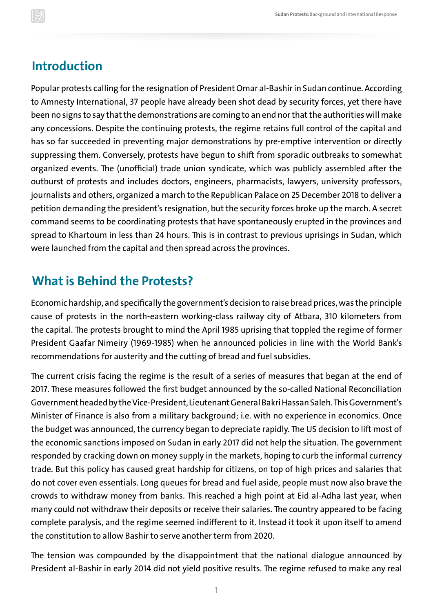#### <span id="page-3-0"></span>**Introduction**

Popular protests calling for the resignation of President Omar al-Bashir in Sudan continue. According to Amnesty International, 37 people have already been shot dead by security forces, yet there have been no signs to say that the demonstrations are coming to an end nor that the authorities will make any concessions. Despite the continuing protests, the regime retains full control of the capital and has so far succeeded in preventing major demonstrations by pre-emptive intervention or directly suppressing them. Conversely, protests have begun to shift from sporadic outbreaks to somewhat organized events. The (unofficial) trade union syndicate, which was publicly assembled after the outburst of protests and includes doctors, engineers, pharmacists, lawyers, university professors, journalists and others, organized a march to the Republican Palace on 25 December 2018 to deliver a petition demanding the president's resignation, but the security forces broke up the march. A secret command seems to be coordinating protests that have spontaneously erupted in the provinces and spread to Khartoum in less than 24 hours. This is in contrast to previous uprisings in Sudan, which were launched from the capital and then spread across the provinces.

#### **What is Behind the Protests?**

Economic hardship, and specifically the government's decision to raise bread prices, was the principle cause of protests in the north-eastern working-class railway city of Atbara, 310 kilometers from the capital. The protests brought to mind the April 1985 uprising that toppled the regime of former President Gaafar Nimeiry (1969-1985) when he announced policies in line with the World Bank's recommendations for austerity and the cutting of bread and fuel subsidies.

The current crisis facing the regime is the result of a series of measures that began at the end of 2017. These measures followed the first budget announced by the so-called National Reconciliation Government headed by the Vice-President, Lieutenant General Bakri Hassan Saleh. This Government's Minister of Finance is also from a military background; i.e. with no experience in economics. Once the budget was announced, the currency began to depreciate rapidly. The US decision to lift most of the economic sanctions imposed on Sudan in early 2017 did not help the situation. The government responded by cracking down on money supply in the markets, hoping to curb the informal currency trade. But this policy has caused great hardship for citizens, on top of high prices and salaries that do not cover even essentials. Long queues for bread and fuel aside, people must now also brave the crowds to withdraw money from banks. This reached a high point at Eid al-Adha last year, when many could not withdraw their deposits or receive their salaries. The country appeared to be facing complete paralysis, and the regime seemed indifferent to it. Instead it took it upon itself to amend the constitution to allow Bashir to serve another term from 2020.

The tension was compounded by the disappointment that the national dialogue announced by President al-Bashir in early 2014 did not yield positive results. The regime refused to make any real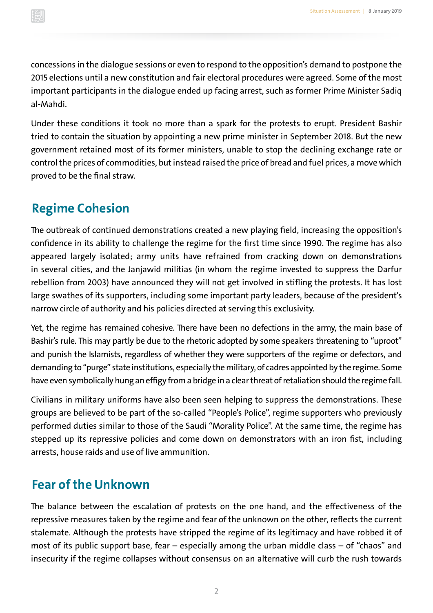<span id="page-4-0"></span>concessions in the dialogue sessions or even to respond to the opposition's demand to postpone the 2015 elections until a new constitution and fair electoral procedures were agreed. Some of the most important participants in the dialogue ended up facing arrest, such as former Prime Minister Sadiq al-Mahdi.

Under these conditions it took no more than a spark for the protests to erupt. President Bashir tried to contain the situation by appointing a new prime minister in September 2018. But the new government retained most of its former ministers, unable to stop the declining exchange rate or control the prices of commodities, but instead raised the price of bread and fuel prices, a move which proved to be the final straw.

#### **Regime Cohesion**

The outbreak of continued demonstrations created a new playing field, increasing the opposition's confidence in its ability to challenge the regime for the first time since 1990. The regime has also appeared largely isolated; army units have refrained from cracking down on demonstrations in several cities, and the Janjawid militias (in whom the regime invested to suppress the Darfur rebellion from 2003) have announced they will not get involved in stifling the protests. It has lost large swathes of its supporters, including some important party leaders, because of the president's narrow circle of authority and his policies directed at serving this exclusivity.

Yet, the regime has remained cohesive. There have been no defections in the army, the main base of Bashir's rule. This may partly be due to the rhetoric adopted by some speakers threatening to "uproot" and punish the Islamists, regardless of whether they were supporters of the regime or defectors, and demanding to "purge" state institutions, especially the military, of cadres appointed by the regime. Some have even symbolically hung an effigy from a bridge in a clear threat of retaliation should the regime fall.

Civilians in military uniforms have also been seen helping to suppress the demonstrations. These groups are believed to be part of the so-called "People's Police", regime supporters who previously performed duties similar to those of the Saudi "Morality Police". At the same time, the regime has stepped up its repressive policies and come down on demonstrators with an iron fist, including arrests, house raids and use of live ammunition.

#### **Fear of the Unknown**

The balance between the escalation of protests on the one hand, and the effectiveness of the repressive measures taken by the regime and fear of the unknown on the other, reflects the current stalemate. Although the protests have stripped the regime of its legitimacy and have robbed it of most of its public support base, fear – especially among the urban middle class – of "chaos" and insecurity if the regime collapses without consensus on an alternative will curb the rush towards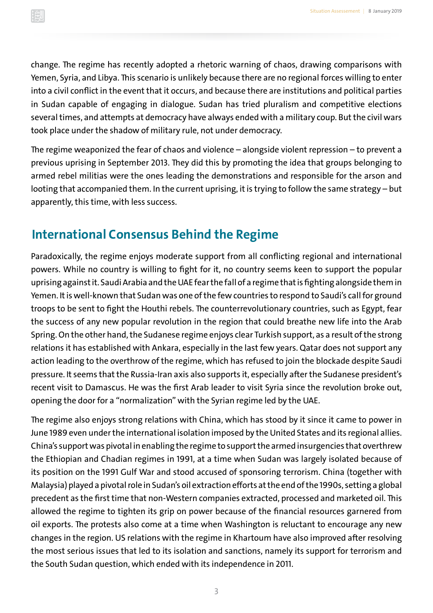<span id="page-5-0"></span>change. The regime has recently adopted a rhetoric warning of chaos, drawing comparisons with Yemen, Syria, and Libya. This scenario is unlikely because there are no regional forces willing to enter into a civil conflict in the event that it occurs, and because there are institutions and political parties in Sudan capable of engaging in dialogue. Sudan has tried pluralism and competitive elections several times, and attempts at democracy have always ended with a military coup. But the civil wars took place under the shadow of military rule, not under democracy.

The regime weaponized the fear of chaos and violence – alongside violent repression – to prevent a previous uprising in September 2013. They did this by promoting the idea that groups belonging to armed rebel militias were the ones leading the demonstrations and responsible for the arson and looting that accompanied them. In the current uprising, it is trying to follow the same strategy – but apparently, this time, with less success.

### **International Consensus Behind the Regime**

Paradoxically, the regime enjoys moderate support from all conflicting regional and international powers. While no country is willing to fight for it, no country seems keen to support the popular uprising against it. Saudi Arabia and the UAE fear the fall of a regime that is fighting alongside them in Yemen. It is well-known that Sudan was one of the few countries to respond to Saudi's call for ground troops to be sent to fight the Houthi rebels. The counterrevolutionary countries, such as Egypt, fear the success of any new popular revolution in the region that could breathe new life into the Arab Spring. On the other hand, the Sudanese regime enjoys clear Turkish support, as a result of the strong relations it has established with Ankara, especially in the last few years. Qatar does not support any action leading to the overthrow of the regime, which has refused to join the blockade despite Saudi pressure. It seems that the Russia-Iran axis also supports it, especially after the Sudanese president's recent visit to Damascus. He was the first Arab leader to visit Syria since the revolution broke out, opening the door for a "normalization" with the Syrian regime led by the UAE.

The regime also enjoys strong relations with China, which has stood by it since it came to power in June 1989 even under the international isolation imposed by the United States and its regional allies. China's support was pivotal in enabling the regime to support the armed insurgencies that overthrew the Ethiopian and Chadian regimes in 1991, at a time when Sudan was largely isolated because of its position on the 1991 Gulf War and stood accused of sponsoring terrorism. China (together with Malaysia) played a pivotal role in Sudan's oil extraction efforts at the end of the 1990s, setting a global precedent as the first time that non-Western companies extracted, processed and marketed oil. This allowed the regime to tighten its grip on power because of the financial resources garnered from oil exports. The protests also come at a time when Washington is reluctant to encourage any new changes in the region. US relations with the regime in Khartoum have also improved after resolving the most serious issues that led to its isolation and sanctions, namely its support for terrorism and the South Sudan question, which ended with its independence in 2011.